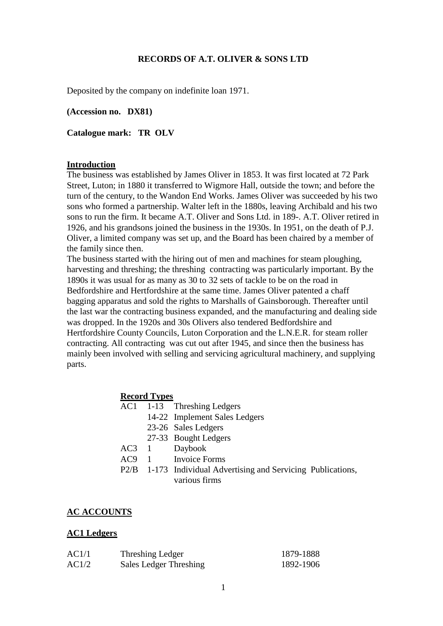### **RECORDS OF A.T. OLIVER & SONS LTD**

Deposited by the company on indefinite loan 1971.

**(Accession no. DX81)**

**Catalogue mark: TR OLV**

#### **Introduction**

The business was established by James Oliver in 1853. It was first located at 72 Park Street, Luton; in 1880 it transferred to Wigmore Hall, outside the town; and before the turn of the century, to the Wandon End Works. James Oliver was succeeded by his two sons who formed a partnership. Walter left in the 1880s, leaving Archibald and his two sons to run the firm. It became A.T. Oliver and Sons Ltd. in 189-. A.T. Oliver retired in 1926, and his grandsons joined the business in the 1930s. In 1951, on the death of P.J. Oliver, a limited company was set up, and the Board has been chaired by a member of the family since then.

The business started with the hiring out of men and machines for steam ploughing, harvesting and threshing; the threshing contracting was particularly important. By the 1890s it was usual for as many as 30 to 32 sets of tackle to be on the road in Bedfordshire and Hertfordshire at the same time. James Oliver patented a chaff bagging apparatus and sold the rights to Marshalls of Gainsborough. Thereafter until the last war the contracting business expanded, and the manufacturing and dealing side was dropped. In the 1920s and 30s Olivers also tendered Bedfordshire and Hertfordshire County Councils, Luton Corporation and the L.N.E.R. for steam roller contracting. All contracting was cut out after 1945, and since then the business has mainly been involved with selling and servicing agricultural machinery, and supplying parts.

#### **Record Types**

- AC1 1-13 Threshing Ledgers
	- 14-22 Implement Sales Ledgers
		- 23-26 Sales Ledgers
	- 27-33 Bought Ledgers
- AC3 1 Daybook
- AC9 1 Invoice Forms
- P2/B 1-173 Individual Advertising and Servicing Publications, various firms

### **AC ACCOUNTS**

#### **AC1 Ledgers**

| AC1/1 | Threshing Ledger       | 1879-1888 |
|-------|------------------------|-----------|
| AC1/2 | Sales Ledger Threshing | 1892-1906 |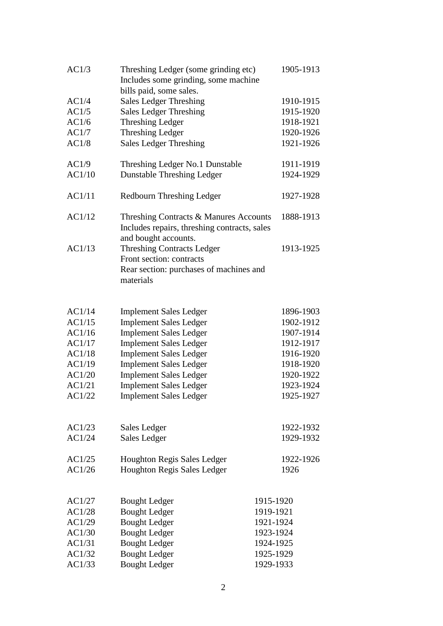| AC1/3  | Threshing Ledger (some grinding etc)                                                   | 1905-1913 |
|--------|----------------------------------------------------------------------------------------|-----------|
|        | Includes some grinding, some machine                                                   |           |
|        | bills paid, some sales.                                                                |           |
| AC1/4  | <b>Sales Ledger Threshing</b>                                                          | 1910-1915 |
| AC1/5  | <b>Sales Ledger Threshing</b>                                                          | 1915-1920 |
| AC1/6  | <b>Threshing Ledger</b>                                                                | 1918-1921 |
| AC1/7  | <b>Threshing Ledger</b>                                                                | 1920-1926 |
| AC1/8  | <b>Sales Ledger Threshing</b>                                                          | 1921-1926 |
| AC1/9  | Threshing Ledger No.1 Dunstable                                                        | 1911-1919 |
| AC1/10 | <b>Dunstable Threshing Ledger</b>                                                      | 1924-1929 |
| AC1/11 | Redbourn Threshing Ledger                                                              | 1927-1928 |
| AC1/12 | Threshing Contracts & Manures Accounts<br>Includes repairs, threshing contracts, sales | 1888-1913 |
|        | and bought accounts.                                                                   |           |
| AC1/13 | <b>Threshing Contracts Ledger</b>                                                      | 1913-1925 |
|        | Front section: contracts                                                               |           |
|        | Rear section: purchases of machines and                                                |           |
|        | materials                                                                              |           |
|        |                                                                                        |           |
| AC1/14 | <b>Implement Sales Ledger</b>                                                          | 1896-1903 |
| AC1/15 | <b>Implement Sales Ledger</b>                                                          | 1902-1912 |
| AC1/16 | <b>Implement Sales Ledger</b>                                                          | 1907-1914 |
| AC1/17 | <b>Implement Sales Ledger</b>                                                          | 1912-1917 |
| AC1/18 | <b>Implement Sales Ledger</b>                                                          | 1916-1920 |
| AC1/19 | <b>Implement Sales Ledger</b>                                                          | 1918-1920 |
| AC1/20 | <b>Implement Sales Ledger</b>                                                          | 1920-1922 |
| AC1/21 | <b>Implement Sales Ledger</b>                                                          | 1923-1924 |
| AC1/22 | <b>Implement Sales Ledger</b>                                                          | 1925-1927 |
|        |                                                                                        |           |
| AC1/23 | Sales Ledger                                                                           | 1922-1932 |
| AC1/24 | <b>Sales Ledger</b>                                                                    | 1929-1932 |
| AC1/25 | Houghton Regis Sales Ledger                                                            | 1922-1926 |
| AC1/26 | Houghton Regis Sales Ledger                                                            | 1926      |
|        |                                                                                        |           |
| AC1/27 | <b>Bought Ledger</b>                                                                   | 1915-1920 |
| AC1/28 | <b>Bought Ledger</b>                                                                   | 1919-1921 |
| AC1/29 | <b>Bought Ledger</b>                                                                   | 1921-1924 |
| AC1/30 | <b>Bought Ledger</b>                                                                   | 1923-1924 |
| AC1/31 | <b>Bought Ledger</b>                                                                   | 1924-1925 |
| AC1/32 | <b>Bought Ledger</b>                                                                   | 1925-1929 |
| AC1/33 | <b>Bought Ledger</b>                                                                   | 1929-1933 |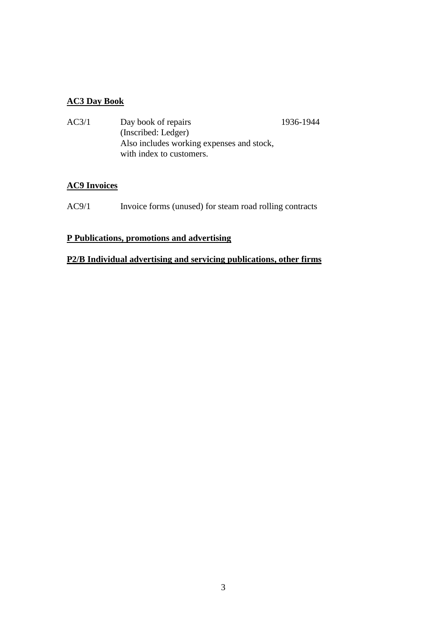### **AC3 Day Book**

| AC3/1 | Day book of repairs                       | 1936-1944 |
|-------|-------------------------------------------|-----------|
|       | (Inscribed: Ledger)                       |           |
|       | Also includes working expenses and stock, |           |
|       | with index to customers.                  |           |

## **AC9 Invoices**

AC9/1 Invoice forms (unused) for steam road rolling contracts

## **P Publications, promotions and advertising**

## **P2/B Individual advertising and servicing publications, other firms**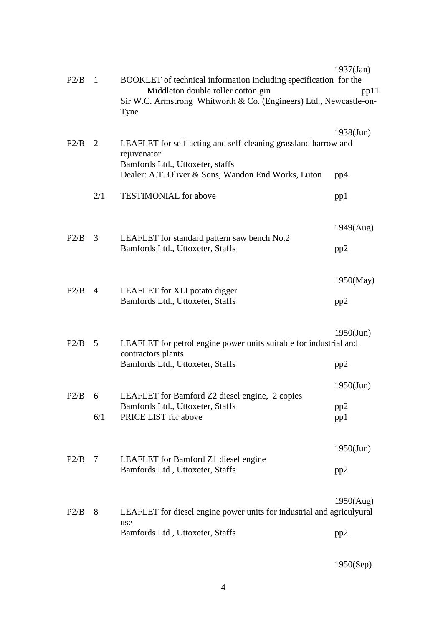| P2/B        | 1              | BOOKLET of technical information including specification for the                                                  | $1937$ (Jan) |
|-------------|----------------|-------------------------------------------------------------------------------------------------------------------|--------------|
|             |                | Middleton double roller cotton gin<br>Sir W.C. Armstrong Whitworth & Co. (Engineers) Ltd., Newcastle-on-<br>Tyne  | pp11         |
| P2/B        | 2              | LEAFLET for self-acting and self-cleaning grassland harrow and<br>rejuvenator<br>Bamfords Ltd., Uttoxeter, staffs | $1938$ (Jun) |
|             |                | Dealer: A.T. Oliver & Sons, Wandon End Works, Luton                                                               | pp4          |
|             | 2/1            | <b>TESTIMONIAL</b> for above                                                                                      | pp1          |
|             | 3              | LEAFLET for standard pattern saw bench No.2<br>Bamfords Ltd., Uttoxeter, Staffs                                   | 1949(Aug)    |
| P2/B        |                |                                                                                                                   | pp2          |
| P2/B        | $\overline{4}$ | LEAFLET for XLI potato digger                                                                                     | $1950$ (May) |
|             |                | Bamfords Ltd., Uttoxeter, Staffs                                                                                  | pp2          |
| P2/B        | $\overline{5}$ | LEAFLET for petrol engine power units suitable for industrial and<br>contractors plants                           | $1950$ (Jun) |
|             |                | Bamfords Ltd., Uttoxeter, Staffs                                                                                  | pp2          |
| $P2/B \t 6$ |                | LEAFLET for Bamford Z2 diesel engine, 2 copies                                                                    | $1950$ (Jun) |
|             | 6/1            | Bamfords Ltd., Uttoxeter, Staffs<br>PRICE LIST for above                                                          | pp2<br>pp1   |
| P2/B        | 7              | LEAFLET for Bamford Z1 diesel engine                                                                              | $1950$ (Jun) |
|             |                | Bamfords Ltd., Uttoxeter, Staffs                                                                                  | pp2          |
| P2/B        | 8              | LEAFLET for diesel engine power units for industrial and agriculyural<br>use                                      | 1950(Aug)    |
|             |                | Bamfords Ltd., Uttoxeter, Staffs                                                                                  | pp2          |

# 1950(Sep)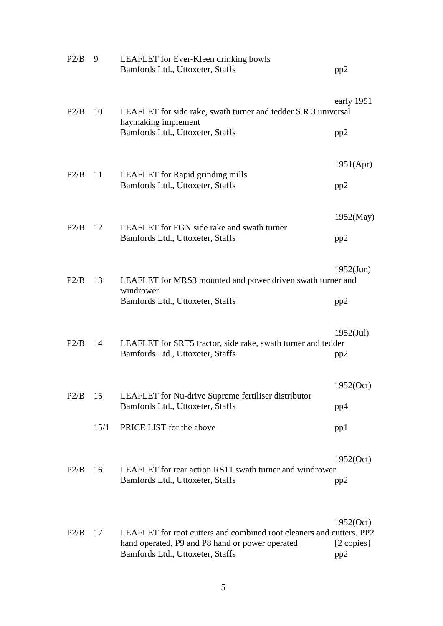| P2/B | 9    | LEAFLET for Ever-Kleen drinking bowls<br>Bamfords Ltd., Uttoxeter, Staffs                                                                                   | pp2                            |
|------|------|-------------------------------------------------------------------------------------------------------------------------------------------------------------|--------------------------------|
| P2/B | 10   | LEAFLET for side rake, swath turner and tedder S.R.3 universal<br>haymaking implement<br>Bamfords Ltd., Uttoxeter, Staffs                                   | early 1951<br>pp2              |
|      |      |                                                                                                                                                             |                                |
|      |      |                                                                                                                                                             | 1951(Apr)                      |
| P2/B | 11   | LEAFLET for Rapid grinding mills<br>Bamfords Ltd., Uttoxeter, Staffs                                                                                        | pp2                            |
| P2/B |      | LEAFLET for FGN side rake and swath turner<br>Bamfords Ltd., Uttoxeter, Staffs                                                                              | 1952(May)                      |
|      | 12   |                                                                                                                                                             | pp2                            |
| P2/B | 13   | LEAFLET for MRS3 mounted and power driven swath turner and                                                                                                  | $1952$ (Jun)                   |
|      |      | windrower<br>Bamfords Ltd., Uttoxeter, Staffs                                                                                                               | pp2                            |
| P2/B | 14   | LEAFLET for SRT5 tractor, side rake, swath turner and tedder<br>Bamfords Ltd., Uttoxeter, Staffs                                                            | $1952$ (Jul)<br>pp2            |
|      |      |                                                                                                                                                             | 1952(Oct)                      |
| P2/B | 15   | LEAFLET for Nu-drive Supreme fertiliser distributor<br>Bamfords Ltd., Uttoxeter, Staffs                                                                     | pp4                            |
|      | 15/1 | PRICE LIST for the above                                                                                                                                    | pp1                            |
|      |      |                                                                                                                                                             | 1952(Oct)                      |
| P2/B | 16   | LEAFLET for rear action RS11 swath turner and windrower<br>Bamfords Ltd., Uttoxeter, Staffs                                                                 | pp2                            |
| P2/B | 17   | LEAFLET for root cutters and combined root cleaners and cutters. PP2<br>hand operated, P9 and P8 hand or power operated<br>Bamfords Ltd., Uttoxeter, Staffs | 1952(Oct)<br>[2 copies]<br>pp2 |
|      |      |                                                                                                                                                             |                                |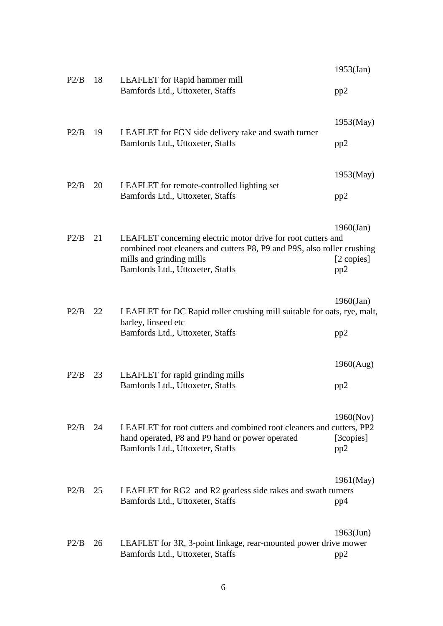| P2/B      | 18<br>LEAFLET for Rapid hammer mill<br>Bamfords Ltd., Uttoxeter, Staffs | $1953$ (Jan)<br>pp2                                                                                                                                                                                     |                                   |
|-----------|-------------------------------------------------------------------------|---------------------------------------------------------------------------------------------------------------------------------------------------------------------------------------------------------|-----------------------------------|
| P2/B      | 19                                                                      | LEAFLET for FGN side delivery rake and swath turner<br>Bamfords Ltd., Uttoxeter, Staffs                                                                                                                 | $1953$ (May)<br>pp2               |
| P2/B      | 20                                                                      | LEAFLET for remote-controlled lighting set<br>Bamfords Ltd., Uttoxeter, Staffs                                                                                                                          | $1953$ (May)<br>pp2               |
| P2/B      | 21                                                                      | LEAFLET concerning electric motor drive for root cutters and<br>combined root cleaners and cutters P8, P9 and P9S, also roller crushing<br>mills and grinding mills<br>Bamfords Ltd., Uttoxeter, Staffs | $1960$ (Jan)<br>[2 copies]<br>pp2 |
| P2/B      | 22                                                                      | LEAFLET for DC Rapid roller crushing mill suitable for oats, rye, malt,<br>barley, linseed etc<br>Bamfords Ltd., Uttoxeter, Staffs                                                                      | $1960$ (Jan)<br>pp2               |
| P2/B      | 23                                                                      | LEAFLET for rapid grinding mills<br>Bamfords Ltd., Uttoxeter, Staffs                                                                                                                                    | 1960(Aug)<br>pp2                  |
| P2/B      | 24                                                                      | LEAFLET for root cutters and combined root cleaners and cutters, PP2<br>hand operated, P8 and P9 hand or power operated<br>Bamfords Ltd., Uttoxeter, Staffs                                             | 1960(Nov)<br>[3copies]<br>pp2     |
| $P2/B$ 25 |                                                                         | LEAFLET for RG2 and R2 gearless side rakes and swath turners<br>Bamfords Ltd., Uttoxeter, Staffs                                                                                                        | $1961$ (May)<br>pp4               |
| P2/B      | 26                                                                      | LEAFLET for 3R, 3-point linkage, rear-mounted power drive mower<br>Bamfords Ltd., Uttoxeter, Staffs                                                                                                     | $1963$ (Jun)<br>pp2               |